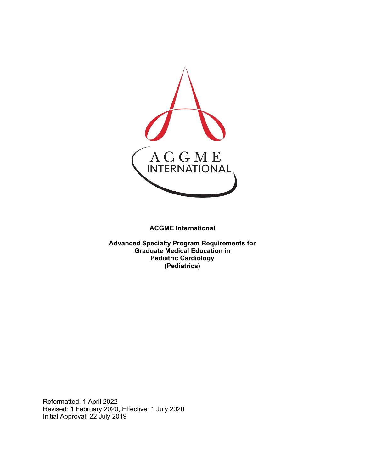

**ACGME International** 

**Advanced Specialty Program Requirements for Graduate Medical Education in Pediatric Cardiology (Pediatrics)**

Reformatted: 1 April 2022 Revised: 1 February 2020, Effective: 1 July 2020 Initial Approval: 22 July 2019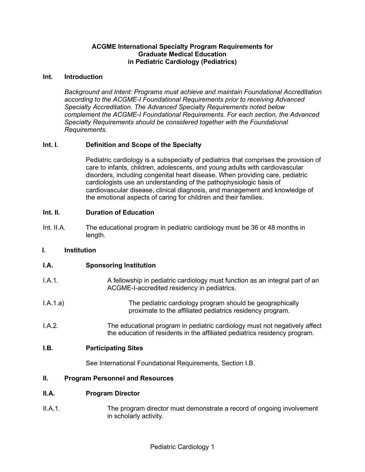# **ACGME International Specialty Program Requirements for Graduate Medical Education in Pediatric Cardiology (Pediatrics)**

#### **Int. Introduction**

*Background and Intent: Programs must achieve and maintain Foundational Accreditation according to the ACGME-I Foundational Requirements prior to receiving Advanced Specialty Accreditation. The Advanced Specialty Requirements noted below complement the ACGME-I Foundational Requirements. For each section, the Advanced Specialty Requirements should be considered together with the Foundational Requirements.*

# **Int. I. Definition and Scope of the Specialty**

Pediatric cardiology is a subspecialty of pediatrics that comprises the provision of care to infants, children, adolescents, and young adults with cardiovascular disorders, including congenital heart disease. When providing care, pediatric cardiologists use an understanding of the pathophysiologic basis of cardiovascular disease, clinical diagnosis, and management and knowledge of the emotional aspects of caring for children and their families.

# **Int. II. Duration of Education**

Int. II.A. The educational program in pediatric cardiology must be 36 or 48 months in length.

# **I. Institution**

# **I.A. Sponsoring Institution**

- I.A.1. A fellowship in pediatric cardiology must function as an integral part of an ACGME-I-accredited residency in pediatrics.
- I.A.1.a) The pediatric cardiology program should be geographically proximate to the affiliated pediatrics residency program.
- I.A.2. The educational program in pediatric cardiology must not negatively affect the education of residents in the affiliated pediatrics residency program.

#### **I.B. Participating Sites**

See International Foundational Requirements, Section I.B.

#### **II. Program Personnel and Resources**

#### **II.A. Program Director**

II.A.1. The program director must demonstrate a record of ongoing involvement in scholarly activity.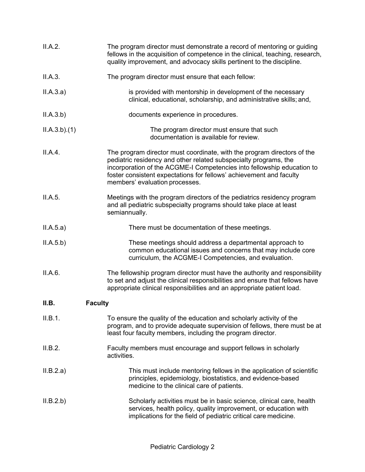| II.A.2.     | The program director must demonstrate a record of mentoring or guiding<br>fellows in the acquisition of competence in the clinical, teaching, research,<br>quality improvement, and advocacy skills pertinent to the discipline.                                                                                               |
|-------------|--------------------------------------------------------------------------------------------------------------------------------------------------------------------------------------------------------------------------------------------------------------------------------------------------------------------------------|
| II.A.3.     | The program director must ensure that each fellow:                                                                                                                                                                                                                                                                             |
| II.A.3.a)   | is provided with mentorship in development of the necessary<br>clinical, educational, scholarship, and administrative skills; and,                                                                                                                                                                                             |
| II.A.3.b)   | documents experience in procedures.                                                                                                                                                                                                                                                                                            |
| ILA.3.b)(1) | The program director must ensure that such<br>documentation is available for review.                                                                                                                                                                                                                                           |
| II.A.4.     | The program director must coordinate, with the program directors of the<br>pediatric residency and other related subspecialty programs, the<br>incorporation of the ACGME-I Competencies into fellowship education to<br>foster consistent expectations for fellows' achievement and faculty<br>members' evaluation processes. |
| II.A.5.     | Meetings with the program directors of the pediatrics residency program<br>and all pediatric subspecialty programs should take place at least<br>semiannually.                                                                                                                                                                 |
| II.A.5.a)   | There must be documentation of these meetings.                                                                                                                                                                                                                                                                                 |
| II.A.5.b)   | These meetings should address a departmental approach to<br>common educational issues and concerns that may include core<br>curriculum, the ACGME-I Competencies, and evaluation.                                                                                                                                              |
| II.A.6.     | The fellowship program director must have the authority and responsibility<br>to set and adjust the clinical responsibilities and ensure that fellows have<br>appropriate clinical responsibilities and an appropriate patient load.                                                                                           |
| II.B.       | <b>Faculty</b>                                                                                                                                                                                                                                                                                                                 |
| II.B.1.     | To ensure the quality of the education and scholarly activity of the<br>program, and to provide adequate supervision of fellows, there must be at<br>least four faculty members, including the program director.                                                                                                               |
| II.B.2.     | Faculty members must encourage and support fellows in scholarly<br>activities.                                                                                                                                                                                                                                                 |
| II.B.2.a)   | This must include mentoring fellows in the application of scientific<br>principles, epidemiology, biostatistics, and evidence-based<br>medicine to the clinical care of patients.                                                                                                                                              |
| II.B.2.b)   | Scholarly activities must be in basic science, clinical care, health<br>services, health policy, quality improvement, or education with<br>implications for the field of pediatric critical care medicine.                                                                                                                     |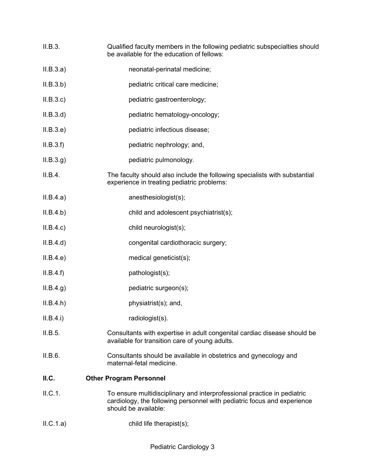| II.B.3.   | Qualified faculty members in the following pediatric subspecialties should<br>be available for the education of fellows:                                                   |
|-----------|----------------------------------------------------------------------------------------------------------------------------------------------------------------------------|
| II.B.3.a) | neonatal-perinatal medicine;                                                                                                                                               |
| II.B.3.b) | pediatric critical care medicine;                                                                                                                                          |
| II.B.3.c  | pediatric gastroenterology;                                                                                                                                                |
| II.B.3.d  | pediatric hematology-oncology;                                                                                                                                             |
| II.B.3.e) | pediatric infectious disease;                                                                                                                                              |
| II.B.3.f  | pediatric nephrology; and,                                                                                                                                                 |
| ILB.3.g)  | pediatric pulmonology.                                                                                                                                                     |
| II.B.4.   | The faculty should also include the following specialists with substantial<br>experience in treating pediatric problems:                                                   |
| II.B.4.a) | anesthesiologist(s);                                                                                                                                                       |
| ILB.4.b)  | child and adolescent psychiatrist(s);                                                                                                                                      |
| II.B.4.c) | child neurologist(s);                                                                                                                                                      |
| II.B.4.d) | congenital cardiothoracic surgery;                                                                                                                                         |
| II.B.4.e) | medical geneticist(s);                                                                                                                                                     |
| II.B.4.f) | pathologist(s);                                                                                                                                                            |
| ILB.4.g)  | pediatric surgeon(s);                                                                                                                                                      |
| ILB.4.h)  | physiatrist(s); and,                                                                                                                                                       |
| II.B.4.i) | radiologist(s).                                                                                                                                                            |
| II.B.5.   | Consultants with expertise in adult congenital cardiac disease should be<br>available for transition care of young adults.                                                 |
| II.B.6.   | Consultants should be available in obstetrics and gynecology and<br>maternal-fetal medicine.                                                                               |
| ILC.      | <b>Other Program Personnel</b>                                                                                                                                             |
| II.C.1.   | To ensure multidisciplinary and interprofessional practice in pediatric<br>cardiology, the following personnel with pediatric focus and experience<br>should be available: |
| ILC.1.a)  | child life therapist(s);                                                                                                                                                   |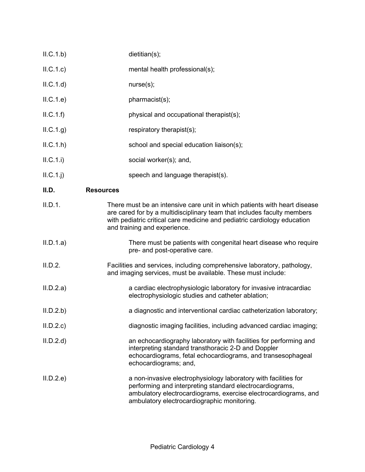| ILC.1.b)   | dietitian(s);                                                                                                                                                                                                                                                    |
|------------|------------------------------------------------------------------------------------------------------------------------------------------------------------------------------------------------------------------------------------------------------------------|
| ILC.1.c)   | mental health professional(s);                                                                                                                                                                                                                                   |
| ILC.1.d    | nurse(s);                                                                                                                                                                                                                                                        |
| ILC.1.e)   | pharmacist(s);                                                                                                                                                                                                                                                   |
| ILC.1.f)   | physical and occupational therapist(s);                                                                                                                                                                                                                          |
| ILC.1.g)   | respiratory therapist(s);                                                                                                                                                                                                                                        |
| ILC.1.h    | school and special education liaison(s);                                                                                                                                                                                                                         |
| II.C.1.i)  | social worker(s); and,                                                                                                                                                                                                                                           |
| $ILC.1.$ j | speech and language therapist(s).                                                                                                                                                                                                                                |
| II.D.      | <b>Resources</b>                                                                                                                                                                                                                                                 |
| II.D.1.    | There must be an intensive care unit in which patients with heart disease<br>are cared for by a multidisciplinary team that includes faculty members<br>with pediatric critical care medicine and pediatric cardiology education<br>and training and experience. |
| II.D.1.a)  | There must be patients with congenital heart disease who require<br>pre- and post-operative care.                                                                                                                                                                |
| II.D.2.    | Facilities and services, including comprehensive laboratory, pathology,<br>and imaging services, must be available. These must include:                                                                                                                          |
| II.D.2.a)  | a cardiac electrophysiologic laboratory for invasive intracardiac<br>electrophysiologic studies and catheter ablation;                                                                                                                                           |
| II.D.2.b   | a diagnostic and interventional cardiac catheterization laboratory;                                                                                                                                                                                              |
| II.D.2.c   | diagnostic imaging facilities, including advanced cardiac imaging;                                                                                                                                                                                               |
| II.D.2.d   | an echocardiography laboratory with facilities for performing and<br>interpreting standard transthoracic 2-D and Doppler<br>echocardiograms, fetal echocardiograms, and transesophageal<br>echocardiograms; and,                                                 |
| II.D.2.e   | a non-invasive electrophysiology laboratory with facilities for<br>performing and interpreting standard electrocardiograms,<br>ambulatory electrocardiograms, exercise electrocardiograms, and<br>ambulatory electrocardiographic monitoring.                    |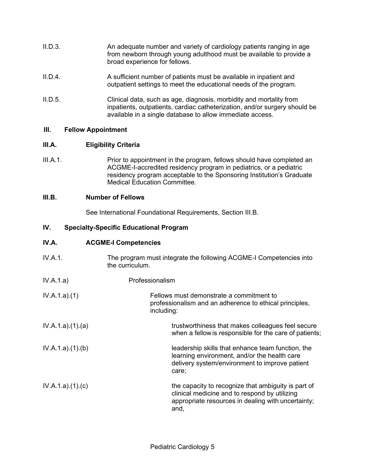- II.D.3. An adequate number and variety of cardiology patients ranging in age from newborn through young adulthood must be available to provide a broad experience for fellows.
- II.D.4. A sufficient number of patients must be available in inpatient and outpatient settings to meet the educational needs of the program.
- II.D.5. Clinical data, such as age, diagnosis, morbidity and mortality from inpatients, outpatients, cardiac catheterization, and/or surgery should be available in a single database to allow immediate access.

# **III. Fellow Appointment**

# **III.A. Eligibility Criteria**

III.A.1. Prior to appointment in the program, fellows should have completed an ACGME-I-accredited residency program in pediatrics, or a pediatric residency program acceptable to the Sponsoring Institution's Graduate Medical Education Committee.

# **III.B. Number of Fellows**

See International Foundational Requirements, Section III.B.

# **IV. Specialty-Specific Educational Program**

# **IV.A. ACGME-I Competencies**

IV.A.1. The program must integrate the following ACGME-I Competencies into the curriculum. IV.A.1.a) Professionalism IV.A.1.a).(1) Fellows must demonstrate a commitment to professionalism and an adherence to ethical principles, including: IV.A.1.a).(1).(a) TV.A.1.a).(1).(a) trustworthiness that makes colleagues feel secure when a fellowis responsible for the care of patients; IV.A.1.a).(1).(b) leadership skills that enhance team function, the learning environment, and/or the health care delivery system/environment to improve patient care; IV.A.1.a).(1).(c) the capacity to recognize that ambiguity is part of clinical medicine and to respond by utilizing appropriate resources in dealing with uncertainty; and,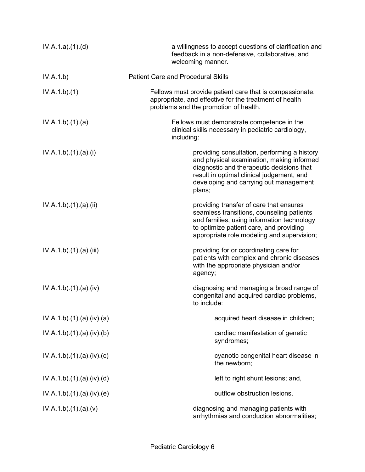| IV.A.1.a)(1)(d)        | a willingness to accept questions of clarification and<br>feedback in a non-defensive, collaborative, and<br>welcoming manner.                                                                                                          |
|------------------------|-----------------------------------------------------------------------------------------------------------------------------------------------------------------------------------------------------------------------------------------|
| IV.A.1.b)              | <b>Patient Care and Procedural Skills</b>                                                                                                                                                                                               |
| IV.A.1.b)(1)           | Fellows must provide patient care that is compassionate,<br>appropriate, and effective for the treatment of health<br>problems and the promotion of health.                                                                             |
| IV.A.1.b)(1)(a)        | Fellows must demonstrate competence in the<br>clinical skills necessary in pediatric cardiology,<br>including:                                                                                                                          |
| IV.A.1.b)(1)(a)(i)     | providing consultation, performing a history<br>and physical examination, making informed<br>diagnostic and therapeutic decisions that<br>result in optimal clinical judgement, and<br>developing and carrying out management<br>plans; |
| IV.A.1.b)(1).(a)(ii)   | providing transfer of care that ensures<br>seamless transitions, counseling patients<br>and families, using information technology<br>to optimize patient care, and providing<br>appropriate role modeling and supervision;             |
| IV.A.1.b)(1)(a)(iii)   | providing for or coordinating care for<br>patients with complex and chronic diseases<br>with the appropriate physician and/or<br>agency;                                                                                                |
| IV.A.1.b)(1)(a)(iv)    | diagnosing and managing a broad range of<br>congenital and acquired cardiac problems,<br>to include:                                                                                                                                    |
| IV.A.1.b)(1)(a)(iv)(a) | acquired heart disease in children;                                                                                                                                                                                                     |
| IV.A.1.b)(1)(a)(iv)(b) | cardiac manifestation of genetic<br>syndromes;                                                                                                                                                                                          |
| IV.A.1.b)(1)(a)(iv)(c) | cyanotic congenital heart disease in<br>the newborn;                                                                                                                                                                                    |
| IV.A.1.b)(1)(a)(iv)(d) | left to right shunt lesions; and,                                                                                                                                                                                                       |
| IV.A.1.b)(1)(a)(iv)(e) | outflow obstruction lesions.                                                                                                                                                                                                            |
| IV.A.1.b)(1)(a)(v)     | diagnosing and managing patients with<br>arrhythmias and conduction abnormalities;                                                                                                                                                      |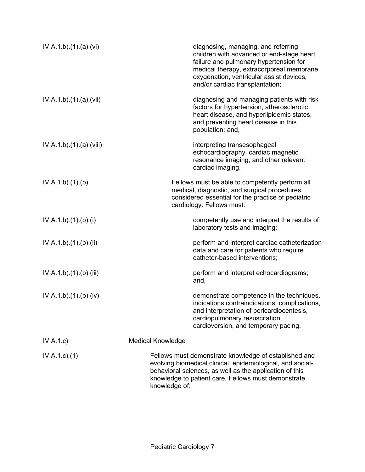| IV.A.1.b)(1)(a)(vi)    | diagnosing, managing, and referring<br>children with advanced or end-stage heart<br>failure and pulmonary hypertension for<br>medical therapy, extracorporeal membrane<br>oxygenation, ventricular assist devices,<br>and/or cardiac transplantation;  |
|------------------------|--------------------------------------------------------------------------------------------------------------------------------------------------------------------------------------------------------------------------------------------------------|
| IV.A.1.b)(1)(a)(vii)   | diagnosing and managing patients with risk<br>factors for hypertension, atherosclerotic<br>heart disease, and hyperlipidemic states,<br>and preventing heart disease in this<br>population; and,                                                       |
| IV.A.1.b)(1)(a)(viii)  | interpreting transesophageal<br>echocardiography, cardiac magnetic<br>resonance imaging, and other relevant<br>cardiac imaging.                                                                                                                        |
| IV.A.1.b)(1)(b)        | Fellows must be able to competently perform all<br>medical, diagnostic, and surgical procedures<br>considered essential for the practice of pediatric<br>cardiology. Fellows must:                                                                     |
| IV.A.1.b)(1)(b)(i)     | competently use and interpret the results of<br>laboratory tests and imaging;                                                                                                                                                                          |
| IV.A.1.b)(1)(b)(ii)    | perform and interpret cardiac catheterization<br>data and care for patients who require<br>catheter-based interventions;                                                                                                                               |
| IV.A.1.b)(1)(b)(iii)   | perform and interpret echocardiograms;<br>and,                                                                                                                                                                                                         |
| IV.A.1.b) (1) (b) (iv) | demonstrate competence in the techniques,<br>indications contraindications, complications,<br>and interpretation of pericardiocentesis,<br>cardiopulmonary resuscitation,<br>cardioversion, and temporary pacing.                                      |
| IV.A.1.c)              | <b>Medical Knowledge</b>                                                                                                                                                                                                                               |
| $IV.A.1.c.$ (1)        | Fellows must demonstrate knowledge of established and<br>evolving biomedical clinical, epidemiological, and social-<br>behavioral sciences, as well as the application of this<br>knowledge to patient care. Fellows must demonstrate<br>knowledge of: |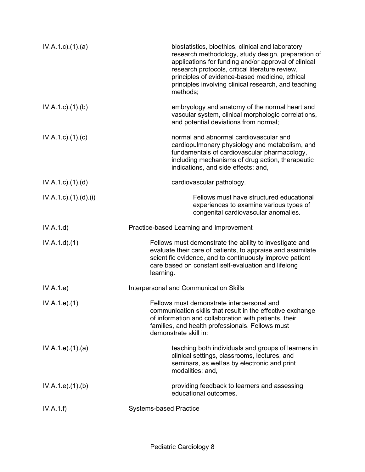| $IV.A.1.c$ . $(1).$ $(a)$          | biostatistics, bioethics, clinical and laboratory<br>research methodology, study design, preparation of<br>applications for funding and/or approval of clinical<br>research protocols, critical literature review,<br>principles of evidence-based medicine, ethical<br>principles involving clinical research, and teaching<br>methods; |
|------------------------------------|------------------------------------------------------------------------------------------------------------------------------------------------------------------------------------------------------------------------------------------------------------------------------------------------------------------------------------------|
| IV.A.1.c.1(1). (b)                 | embryology and anatomy of the normal heart and<br>vascular system, clinical morphologic correlations,<br>and potential deviations from normal;                                                                                                                                                                                           |
| $IV.A.1.c$ ) $(1)(c)$              | normal and abnormal cardiovascular and<br>cardiopulmonary physiology and metabolism, and<br>fundamentals of cardiovascular pharmacology,<br>including mechanisms of drug action, therapeutic<br>indications, and side effects; and,                                                                                                      |
| $IV.A.1.c$ . $(1).$ $(d)$          | cardiovascular pathology.                                                                                                                                                                                                                                                                                                                |
| $IV.A.1.c$ ). $(1).$ $(d)$ . $(i)$ | Fellows must have structured educational<br>experiences to examine various types of<br>congenital cardiovascular anomalies.                                                                                                                                                                                                              |
| IV.A.1.d)                          | Practice-based Learning and Improvement                                                                                                                                                                                                                                                                                                  |
| IV.A.1.d)(1)                       | Fellows must demonstrate the ability to investigate and<br>evaluate their care of patients, to appraise and assimilate<br>scientific evidence, and to continuously improve patient<br>care based on constant self-evaluation and lifelong<br>learning.                                                                                   |
| IV.A.1.e)                          | Interpersonal and Communication Skills                                                                                                                                                                                                                                                                                                   |
| IV.A.1.e. (1)                      | Fellows must demonstrate interpersonal and<br>communication skills that result in the effective exchange<br>of information and collaboration with patients, their<br>families, and health professionals. Fellows must<br>demonstrate skill in:                                                                                           |
| IV.A.1.e. (1). (a)                 | teaching both individuals and groups of learners in<br>clinical settings, classrooms, lectures, and<br>seminars, as well as by electronic and print<br>modalities; and,                                                                                                                                                                  |
| IV.A.1.e. (1)(b)                   | providing feedback to learners and assessing<br>educational outcomes.                                                                                                                                                                                                                                                                    |
| IV.A.1.f)                          | <b>Systems-based Practice</b>                                                                                                                                                                                                                                                                                                            |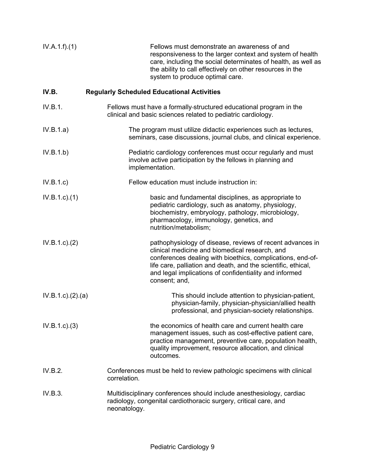| IV.A.1.f)(1)        | Fellows must demonstrate an awareness of and<br>responsiveness to the larger context and system of health<br>care, including the social determinates of health, as well as<br>the ability to call effectively on other resources in the<br>system to produce optimal care.                                            |
|---------------------|-----------------------------------------------------------------------------------------------------------------------------------------------------------------------------------------------------------------------------------------------------------------------------------------------------------------------|
| IV.B.               | <b>Regularly Scheduled Educational Activities</b>                                                                                                                                                                                                                                                                     |
| IV.B.1.             | Fellows must have a formally-structured educational program in the<br>clinical and basic sciences related to pediatric cardiology.                                                                                                                                                                                    |
| IV.B.1.a)           | The program must utilize didactic experiences such as lectures,<br>seminars, case discussions, journal clubs, and clinical experience.                                                                                                                                                                                |
| IV.B.1.b)           | Pediatric cardiology conferences must occur regularly and must<br>involve active participation by the fellows in planning and<br>implementation.                                                                                                                                                                      |
| IV.B.1.c            | Fellow education must include instruction in:                                                                                                                                                                                                                                                                         |
| $IV.B.1.c.$ (1)     | basic and fundamental disciplines, as appropriate to<br>pediatric cardiology, such as anatomy, physiology,<br>biochemistry, embryology, pathology, microbiology,<br>pharmacology, immunology, genetics, and<br>nutrition/metabolism;                                                                                  |
| IV.B.1.c.2)         | pathophysiology of disease, reviews of recent advances in<br>clinical medicine and biomedical research, and<br>conferences dealing with bioethics, complications, end-of-<br>life care, palliation and death, and the scientific, ethical,<br>and legal implications of confidentiality and informed<br>consent; and, |
| IV.B.1.c). (2). (a) | This should include attention to physician-patient,<br>physician-family, physician-physician/allied health<br>professional, and physician-society relationships.                                                                                                                                                      |
| IV.B.1.c.3)         | the economics of health care and current health care<br>management issues, such as cost-effective patient care,<br>practice management, preventive care, population health,<br>quality improvement, resource allocation, and clinical<br>outcomes.                                                                    |
| IV.B.2.             | Conferences must be held to review pathologic specimens with clinical<br>correlation.                                                                                                                                                                                                                                 |
| IV.B.3.             | Multidisciplinary conferences should include anesthesiology, cardiac<br>radiology, congenital cardiothoracic surgery, critical care, and<br>neonatology.                                                                                                                                                              |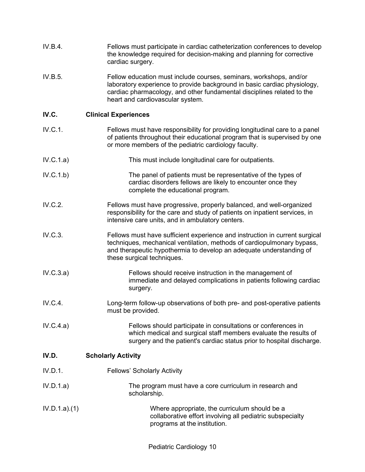| IV.B.4.      | Fellows must participate in cardiac catheterization conferences to develop<br>the knowledge required for decision-making and planning for corrective<br>cardiac surgery.                                                                                     |
|--------------|--------------------------------------------------------------------------------------------------------------------------------------------------------------------------------------------------------------------------------------------------------------|
| IV.B.5.      | Fellow education must include courses, seminars, workshops, and/or<br>laboratory experience to provide background in basic cardiac physiology,<br>cardiac pharmacology, and other fundamental disciplines related to the<br>heart and cardiovascular system. |
| IV.C.        | <b>Clinical Experiences</b>                                                                                                                                                                                                                                  |
| IV.C.1.      | Fellows must have responsibility for providing longitudinal care to a panel<br>of patients throughout their educational program that is supervised by one<br>or more members of the pediatric cardiology faculty.                                            |
| IV.C.1.a)    | This must include longitudinal care for outpatients.                                                                                                                                                                                                         |
| IV.C.1.b)    | The panel of patients must be representative of the types of<br>cardiac disorders fellows are likely to encounter once they<br>complete the educational program.                                                                                             |
| IV.C.2.      | Fellows must have progressive, properly balanced, and well-organized<br>responsibility for the care and study of patients on inpatient services, in<br>intensive care units, and in ambulatory centers.                                                      |
| IV.C.3.      | Fellows must have sufficient experience and instruction in current surgical<br>techniques, mechanical ventilation, methods of cardiopulmonary bypass,<br>and therapeutic hypothermia to develop an adequate understanding of<br>these surgical techniques.   |
| IV.C.3.a)    | Fellows should receive instruction in the management of<br>immediate and delayed complications in patients following cardiac<br>surgery.                                                                                                                     |
| IV.C.4.      | Long-term follow-up observations of both pre- and post-operative patients<br>must be provided.                                                                                                                                                               |
| IV.C.4.a)    | Fellows should participate in consultations or conferences in<br>which medical and surgical staff members evaluate the results of<br>surgery and the patient's cardiac status prior to hospital discharge.                                                   |
| IV.D.        | <b>Scholarly Activity</b>                                                                                                                                                                                                                                    |
| IV.D.1.      | <b>Fellows' Scholarly Activity</b>                                                                                                                                                                                                                           |
| IV.D.1.a)    | The program must have a core curriculum in research and<br>scholarship.                                                                                                                                                                                      |
| IV.D.1.a)(1) | Where appropriate, the curriculum should be a<br>collaborative effort involving all pediatric subspecialty<br>programs at the institution.                                                                                                                   |